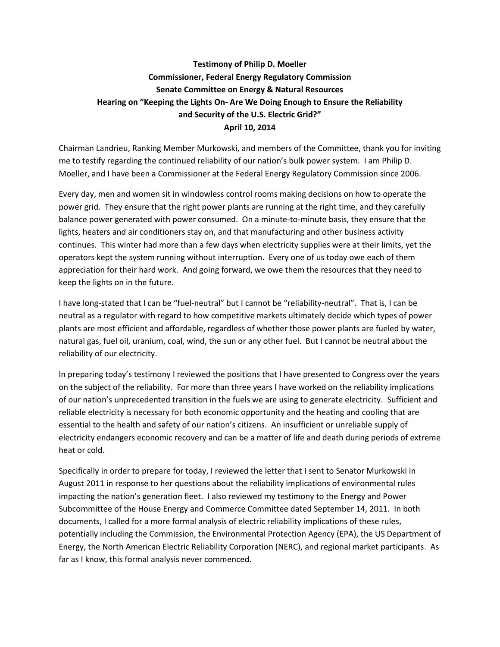## **Testimony of Philip D. Moeller Commissioner, Federal Energy Regulatory Commission Senate Committee on Energy & Natural Resources Hearing on "Keeping the Lights On- Are We Doing Enough to Ensure the Reliability and Security of the U.S. Electric Grid?" April 10, 2014**

Chairman Landrieu, Ranking Member Murkowski, and members of the Committee, thank you for inviting me to testify regarding the continued reliability of our nation's bulk power system. I am Philip D. Moeller, and I have been a Commissioner at the Federal Energy Regulatory Commission since 2006.

Every day, men and women sit in windowless control rooms making decisions on how to operate the power grid. They ensure that the right power plants are running at the right time, and they carefully balance power generated with power consumed. On a minute-to-minute basis, they ensure that the lights, heaters and air conditioners stay on, and that manufacturing and other business activity continues. This winter had more than a few days when electricity supplies were at their limits, yet the operators kept the system running without interruption. Every one of us today owe each of them appreciation for their hard work. And going forward, we owe them the resources that they need to keep the lights on in the future.

I have long-stated that I can be "fuel-neutral" but I cannot be "reliability-neutral". That is, I can be neutral as a regulator with regard to how competitive markets ultimately decide which types of power plants are most efficient and affordable, regardless of whether those power plants are fueled by water, natural gas, fuel oil, uranium, coal, wind, the sun or any other fuel. But I cannot be neutral about the reliability of our electricity.

In preparing today's testimony I reviewed the positions that I have presented to Congress over the years on the subject of the reliability. For more than three years I have worked on the reliability implications of our nation's unprecedented transition in the fuels we are using to generate electricity. Sufficient and reliable electricity is necessary for both economic opportunity and the heating and cooling that are essential to the health and safety of our nation's citizens. An insufficient or unreliable supply of electricity endangers economic recovery and can be a matter of life and death during periods of extreme heat or cold.

Specifically in order to prepare for today, I reviewed the letter that I sent to Senator Murkowski in August 2011 in response to her questions about the reliability implications of environmental rules impacting the nation's generation fleet. I also reviewed my testimony to the Energy and Power Subcommittee of the House Energy and Commerce Committee dated September 14, 2011. In both documents, I called for a more formal analysis of electric reliability implications of these rules, potentially including the Commission, the Environmental Protection Agency (EPA), the US Department of Energy, the North American Electric Reliability Corporation (NERC), and regional market participants. As far as I know, this formal analysis never commenced.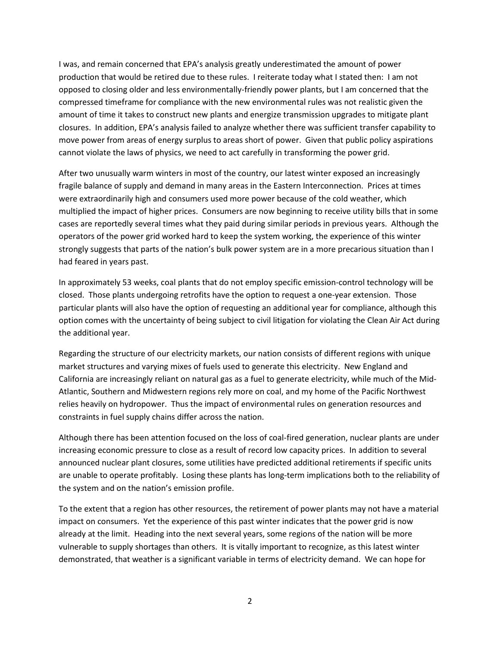I was, and remain concerned that EPA's analysis greatly underestimated the amount of power production that would be retired due to these rules. I reiterate today what I stated then: I am not opposed to closing older and less environmentally-friendly power plants, but I am concerned that the compressed timeframe for compliance with the new environmental rules was not realistic given the amount of time it takes to construct new plants and energize transmission upgrades to mitigate plant closures. In addition, EPA's analysis failed to analyze whether there was sufficient transfer capability to move power from areas of energy surplus to areas short of power. Given that public policy aspirations cannot violate the laws of physics, we need to act carefully in transforming the power grid.

After two unusually warm winters in most of the country, our latest winter exposed an increasingly fragile balance of supply and demand in many areas in the Eastern Interconnection. Prices at times were extraordinarily high and consumers used more power because of the cold weather, which multiplied the impact of higher prices. Consumers are now beginning to receive utility bills that in some cases are reportedly several times what they paid during similar periods in previous years. Although the operators of the power grid worked hard to keep the system working, the experience of this winter strongly suggests that parts of the nation's bulk power system are in a more precarious situation than I had feared in years past.

In approximately 53 weeks, coal plants that do not employ specific emission-control technology will be closed. Those plants undergoing retrofits have the option to request a one-year extension. Those particular plants will also have the option of requesting an additional year for compliance, although this option comes with the uncertainty of being subject to civil litigation for violating the Clean Air Act during the additional year.

Regarding the structure of our electricity markets, our nation consists of different regions with unique market structures and varying mixes of fuels used to generate this electricity. New England and California are increasingly reliant on natural gas as a fuel to generate electricity, while much of the Mid-Atlantic, Southern and Midwestern regions rely more on coal, and my home of the Pacific Northwest relies heavily on hydropower. Thus the impact of environmental rules on generation resources and constraints in fuel supply chains differ across the nation.

Although there has been attention focused on the loss of coal-fired generation, nuclear plants are under increasing economic pressure to close as a result of record low capacity prices. In addition to several announced nuclear plant closures, some utilities have predicted additional retirements if specific units are unable to operate profitably. Losing these plants has long-term implications both to the reliability of the system and on the nation's emission profile.

To the extent that a region has other resources, the retirement of power plants may not have a material impact on consumers. Yet the experience of this past winter indicates that the power grid is now already at the limit. Heading into the next several years, some regions of the nation will be more vulnerable to supply shortages than others. It is vitally important to recognize, as this latest winter demonstrated, that weather is a significant variable in terms of electricity demand. We can hope for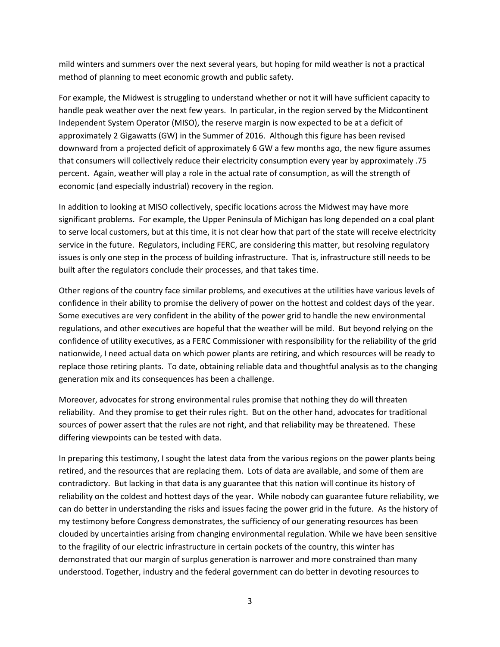mild winters and summers over the next several years, but hoping for mild weather is not a practical method of planning to meet economic growth and public safety.

For example, the Midwest is struggling to understand whether or not it will have sufficient capacity to handle peak weather over the next few years. In particular, in the region served by the Midcontinent Independent System Operator (MISO), the reserve margin is now expected to be at a deficit of approximately 2 Gigawatts (GW) in the Summer of 2016. Although this figure has been revised downward from a projected deficit of approximately 6 GW a few months ago, the new figure assumes that consumers will collectively reduce their electricity consumption every year by approximately .75 percent. Again, weather will play a role in the actual rate of consumption, as will the strength of economic (and especially industrial) recovery in the region.

In addition to looking at MISO collectively, specific locations across the Midwest may have more significant problems. For example, the Upper Peninsula of Michigan has long depended on a coal plant to serve local customers, but at this time, it is not clear how that part of the state will receive electricity service in the future. Regulators, including FERC, are considering this matter, but resolving regulatory issues is only one step in the process of building infrastructure. That is, infrastructure still needs to be built after the regulators conclude their processes, and that takes time.

Other regions of the country face similar problems, and executives at the utilities have various levels of confidence in their ability to promise the delivery of power on the hottest and coldest days of the year. Some executives are very confident in the ability of the power grid to handle the new environmental regulations, and other executives are hopeful that the weather will be mild. But beyond relying on the confidence of utility executives, as a FERC Commissioner with responsibility for the reliability of the grid nationwide, I need actual data on which power plants are retiring, and which resources will be ready to replace those retiring plants. To date, obtaining reliable data and thoughtful analysis as to the changing generation mix and its consequences has been a challenge.

Moreover, advocates for strong environmental rules promise that nothing they do will threaten reliability. And they promise to get their rules right. But on the other hand, advocates for traditional sources of power assert that the rules are not right, and that reliability may be threatened. These differing viewpoints can be tested with data.

In preparing this testimony, I sought the latest data from the various regions on the power plants being retired, and the resources that are replacing them. Lots of data are available, and some of them are contradictory. But lacking in that data is any guarantee that this nation will continue its history of reliability on the coldest and hottest days of the year. While nobody can guarantee future reliability, we can do better in understanding the risks and issues facing the power grid in the future. As the history of my testimony before Congress demonstrates, the sufficiency of our generating resources has been clouded by uncertainties arising from changing environmental regulation. While we have been sensitive to the fragility of our electric infrastructure in certain pockets of the country, this winter has demonstrated that our margin of surplus generation is narrower and more constrained than many understood. Together, industry and the federal government can do better in devoting resources to